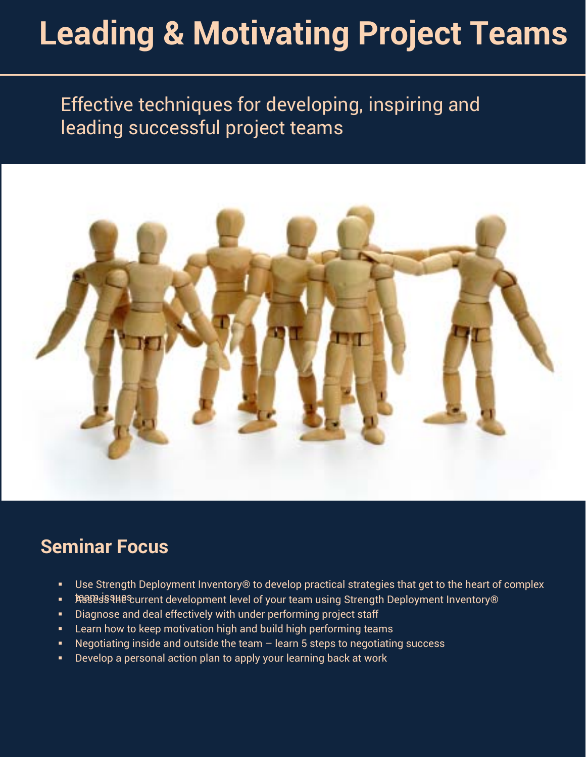# **Leading & Motivating Project Teams**

# Effective techniques for developing, inspiring and leading successful project teams



### **Seminar Focus**

- Use Strength Deployment Inventory® to develop practical strategies that get to the heart of complex
- 快多跑98% Nexternat development level of your team using Strength Deployment Inventory®
- **Diagnose and deal effectively with under performing project staff**
- **EXECT:** Learn how to keep motivation high and build high performing teams
- Negotiating inside and outside the team learn 5 steps to negotiating success
- Develop a personal action plan to apply your learning back at work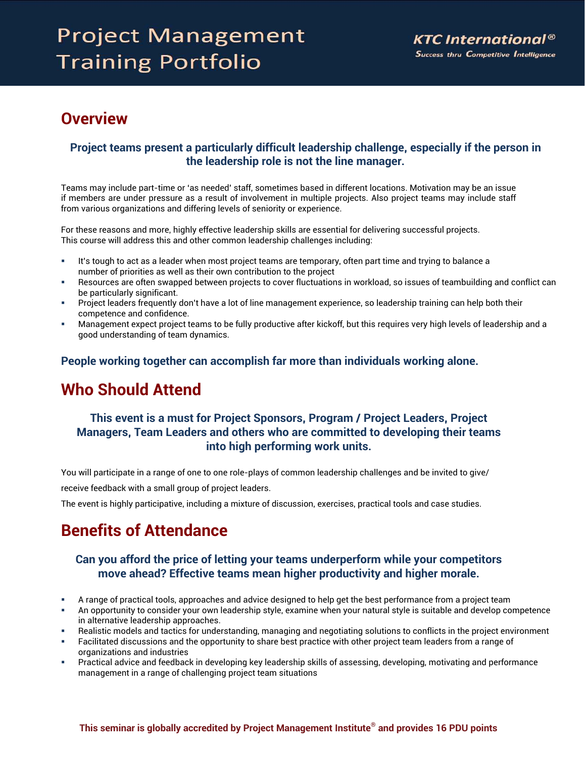# **Project Management Training Portfolio**

### **Overview**

#### **Project teams present a particularly difficult leadership challenge, especially if the person in the leadership role is not the line manager.**

Teams may include part-time or 'as needed' staff, sometimes based in different locations. Motivation may be an issue if members are under pressure as a result of involvement in multiple projects. Also project teams may include staff from various organizations and differing levels of seniority or experience.

For these reasons and more, highly effective leadership skills are essential for delivering successful projects. This course will address this and other common leadership challenges including:

- It's tough to act as a leader when most project teams are temporary, often part time and trying to balance a number of priorities as well as their own contribution to the project
- Resources are often swapped between projects to cover fluctuations in workload, so issues of teambuilding and conflict can be particularly significant.
- Project leaders frequently don't have a lot of line management experience, so leadership training can help both their competence and confidence.
- Management expect project teams to be fully productive after kickoff, but this requires very high levels of leadership and a good understanding of team dynamics.

**People working together can accomplish far more than individuals working alone.** 

### **Who Should Attend**

#### **This event is a must for Project Sponsors, Program / Project Leaders, Project Managers, Team Leaders and others who are committed to developing their teams into high performing work units.**

You will participate in a range of one to one role-plays of common leadership challenges and be invited to give/ receive feedback with a small group of project leaders.

The event is highly participative, including a mixture of discussion, exercises, practical tools and case studies.

### **Benefits of Attendance**

#### **Can you afford the price of letting your teams underperform while your competitors move ahead? Effective teams mean higher productivity and higher morale.**

- A range of practical tools, approaches and advice designed to help get the best performance from a project team
- An opportunity to consider your own leadership style, examine when your natural style is suitable and develop competence in alternative leadership approaches.
- Realistic models and tactics for understanding, managing and negotiating solutions to conflicts in the project environment
- Facilitated discussions and the opportunity to share best practice with other project team leaders from a range of organizations and industries
- Practical advice and feedback in developing key leadership skills of assessing, developing, motivating and performance management in a range of challenging project team situations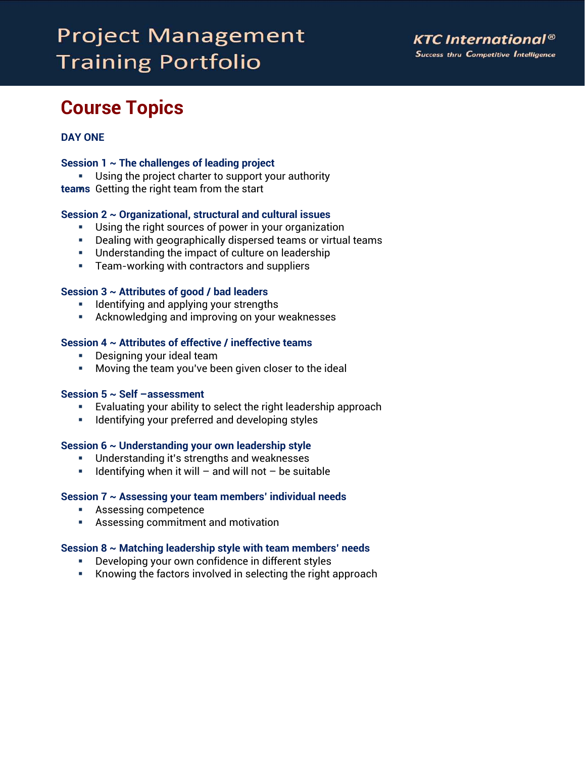# **Project Management Training Portfolio**

## **Course Topics**

#### **DAY ONE**

#### **Session 1 ~ The challenges of leading project**

**teams**  Getting the right team from the start Using the project charter to support your authority

#### **Session 2 ~ Organizational, structural and cultural issues**

- Using the right sources of power in your organization
- Dealing with geographically dispersed teams or virtual teams
- **Understanding the impact of culture on leadership**
- **Team-working with contractors and suppliers**

#### **Session 3 ~ Attributes of good / bad leaders**

- **IDENTIFY 1** Identifying and applying your strengths
- Acknowledging and improving on your weaknesses

#### **Session 4 ~ Attributes of effective / ineffective teams**

- Designing your ideal team
- Moving the team you've been given closer to the ideal

#### **Session 5 ~ Self –assessment**

- Evaluating your ability to select the right leadership approach
- **IDENTIFY 11 IDENTIFY 10 INCOCO 13 INCOCO 13 INCRED** 10 IDENTIFY 10 IDENTIFY 10 IDENTIFY

#### **Session 6 ~ Understanding your own leadership style**

- Understanding it's strengths and weaknesses
- **IDENT** 1 Identifying when it will and will not be suitable

#### **Session 7 ~ Assessing your team members' individual needs**

- **Assessing competence**
- Assessing commitment and motivation

#### **Session 8 ~ Matching leadership style with team members' needs**

- Developing your own confidence in different styles
- Knowing the factors involved in selecting the right approach